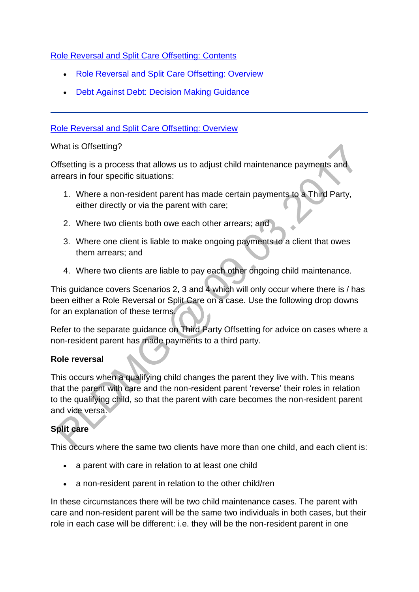[Role Reversal and Split Care Offsetting:](http://np-cmg-sharepoint.link2.gpn.gov.uk/sites/policy-law-and-decision-making-guidance/Pages/Role%20reversal%20and%20split%20care%20offsetting/Role-reversal-and-split-care-offsetting.aspx) Contents

- [Role Reversal and Split Care Offsetting: Overview](http://np-cmg-sharepoint.link2.gpn.gov.uk/sites/policy-law-and-decision-making-guidance/Pages/Role%20reversal%20and%20split%20care%20offsetting/Role-reversal-and-split-care-offsetting.aspx#Overview)
- Debt [Against Debt: Decision Making Guidance](http://np-cmg-sharepoint.link2.gpn.gov.uk/sites/policy-law-and-decision-making-guidance/Pages/Role%20reversal%20and%20split%20care%20offsetting/Role-reversal-and-split-care-offsetting.aspx#Debtagainstdebt)

### [Role Reversal and Split Care Offsetting: Overview](http://np-cmg-sharepoint.link2.gpn.gov.uk/sites/policy-law-and-decision-making-guidance/Pages/Role%20reversal%20and%20split%20care%20offsetting/Role-reversal-and-split-care-offsetting.aspx)

#### What is Offsetting?

Offsetting is a process that allows us to adjust child maintenance payments and arrears in four specific situations:

- 1. Where a non-resident parent has made certain payments to a Third Party, either directly or via the parent with care;
- 2. Where two clients both owe each other arrears; and
- 3. Where one client is liable to make ongoing payments to a client that owes them arrears; and
- 4. Where two clients are liable to pay each other ongoing child maintenance.

This guidance covers Scenarios 2, 3 and 4 which will only occur where there is / has been either a Role Reversal or Split Care on a case. Use the following drop downs for an explanation of these terms.

Refer to the separate guidance on Third Party Offsetting for advice on cases where a non-resident parent has made payments to a third party.

### **Role reversal**

This occurs when a qualifying child changes the parent they live with. This means that the parent with care and the non-resident parent 'reverse' their roles in relation to the qualifying child, so that the parent with care becomes the non-resident parent and vice versa.

# **Split care**

This occurs where the same two clients have more than one child, and each client is:

- a parent with care in relation to at least one child
- a non-resident parent in relation to the other child/ren

In these circumstances there will be two child maintenance cases. The parent with care and non-resident parent will be the same two individuals in both cases, but their role in each case will be different: i.e. they will be the non-resident parent in one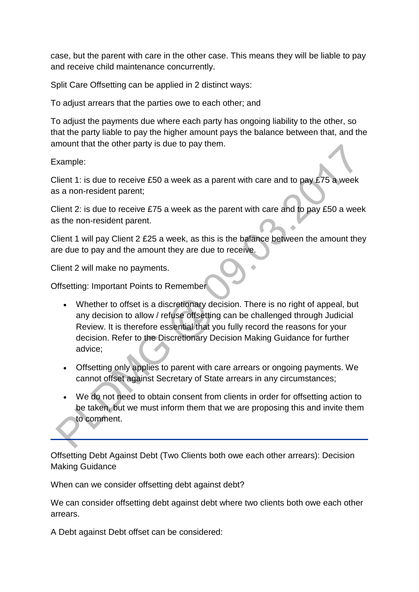case, but the parent with care in the other case. This means they will be liable to pay and receive child maintenance concurrently.

Split Care Offsetting can be applied in 2 distinct ways:

To adjust arrears that the parties owe to each other; and

To adjust the payments due where each party has ongoing liability to the other, so that the party liable to pay the higher amount pays the balance between that, and the amount that the other party is due to pay them.

Example:

Client 1: is due to receive £50 a week as a parent with care and to pay £75 a week as a non-resident parent;

Client 2: is due to receive £75 a week as the parent with care and to pay £50 a week as the non-resident parent.

Client 1 will pay Client 2 £25 a week, as this is the balance between the amount they are due to pay and the amount they are due to receive.

Client 2 will make no payments.

Offsetting: Important Points to Remember

- Whether to offset is a discretionary decision. There is no right of appeal, but any decision to allow / refuse offsetting can be challenged through Judicial Review. It is therefore essential that you fully record the reasons for your decision. Refer to the Discretionary Decision Making Guidance for further advice;
- Offsetting only applies to parent with care arrears or ongoing payments. We cannot offset against Secretary of State arrears in any circumstances;
- We do not need to obtain consent from clients in order for offsetting action to be taken, but we must inform them that we are proposing this and invite them to comment.

Offsetting Debt Against Debt (Two Clients both owe each other arrears): Decision Making Guidance

When can we consider offsetting debt against debt?

We can consider offsetting debt against debt where two clients both owe each other arrears.

A Debt against Debt offset can be considered: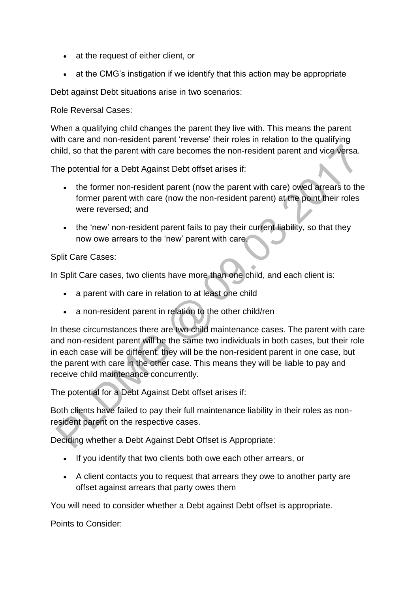- at the request of either client, or
- at the CMG's instigation if we identify that this action may be appropriate

Debt against Debt situations arise in two scenarios:

Role Reversal Cases:

When a qualifying child changes the parent they live with. This means the parent with care and non-resident parent 'reverse' their roles in relation to the qualifying child, so that the parent with care becomes the non-resident parent and vice versa.

The potential for a Debt Against Debt offset arises if:

- the former non-resident parent (now the parent with care) owed arrears to the former parent with care (now the non-resident parent) at the point their roles were reversed; and
- the 'new' non-resident parent fails to pay their current liability, so that they now owe arrears to the 'new' parent with care.

Split Care Cases:

In Split Care cases, two clients have more than one child, and each client is:

- a parent with care in relation to at least one child
- a non-resident parent in relation to the other child/ren

In these circumstances there are two child maintenance cases. The parent with care and non-resident parent will be the same two individuals in both cases, but their role in each case will be different: they will be the non-resident parent in one case, but the parent with care in the other case. This means they will be liable to pay and receive child maintenance concurrently.

The potential for a Debt Against Debt offset arises if:

Both clients have failed to pay their full maintenance liability in their roles as nonresident parent on the respective cases.

Deciding whether a Debt Against Debt Offset is Appropriate:

- If you identify that two clients both owe each other arrears, or
- A client contacts you to request that arrears they owe to another party are offset against arrears that party owes them

You will need to consider whether a Debt against Debt offset is appropriate.

Points to Consider: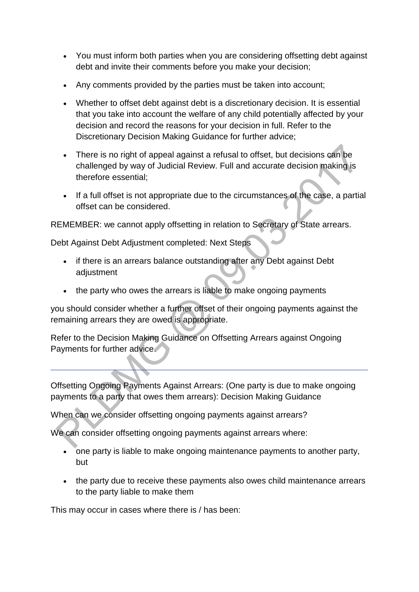- You must inform both parties when you are considering offsetting debt against debt and invite their comments before you make your decision;
- Any comments provided by the parties must be taken into account;
- Whether to offset debt against debt is a discretionary decision. It is essential that you take into account the welfare of any child potentially affected by your decision and record the reasons for your decision in full. Refer to the Discretionary Decision Making Guidance for further advice;
- There is no right of appeal against a refusal to offset, but decisions can be challenged by way of Judicial Review. Full and accurate decision making is therefore essential;
- If a full offset is not appropriate due to the circumstances of the case, a partial offset can be considered.

REMEMBER: we cannot apply offsetting in relation to Secretary of State arrears.

Debt Against Debt Adjustment completed: Next Steps

- if there is an arrears balance outstanding after any Debt against Debt adjustment
- the party who owes the arrears is liable to make ongoing payments

you should consider whether a further offset of their ongoing payments against the remaining arrears they are owed is appropriate.

Refer to the Decision Making Guidance on Offsetting Arrears against Ongoing Payments for further advice.

Offsetting Ongoing Payments Against Arrears: (One party is due to make ongoing payments to a party that owes them arrears): Decision Making Guidance

When can we consider offsetting ongoing payments against arrears?

We can consider offsetting ongoing payments against arrears where:

- one party is liable to make ongoing maintenance payments to another party, but
- the party due to receive these payments also owes child maintenance arrears to the party liable to make them

This may occur in cases where there is / has been: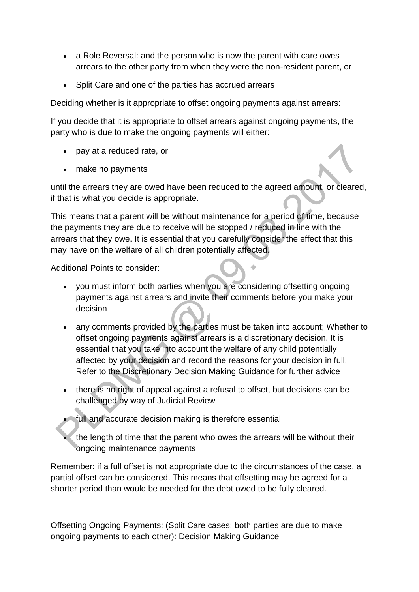- a Role Reversal: and the person who is now the parent with care owes arrears to the other party from when they were the non-resident parent, or
- Split Care and one of the parties has accrued arrears

Deciding whether is it appropriate to offset ongoing payments against arrears:

If you decide that it is appropriate to offset arrears against ongoing payments, the party who is due to make the ongoing payments will either:

- pay at a reduced rate, or
- make no payments

until the arrears they are owed have been reduced to the agreed amount, or cleared, if that is what you decide is appropriate.

This means that a parent will be without maintenance for a period of time, because the payments they are due to receive will be stopped / reduced in line with the arrears that they owe. It is essential that you carefully consider the effect that this may have on the welfare of all children potentially affected.

Additional Points to consider:

- you must inform both parties when you are considering offsetting ongoing payments against arrears and invite their comments before you make your decision
- any comments provided by the parties must be taken into account; Whether to offset ongoing payments against arrears is a discretionary decision. It is essential that you take into account the welfare of any child potentially affected by your decision and record the reasons for your decision in full. Refer to the Discretionary Decision Making Guidance for further advice
- there is no right of appeal against a refusal to offset, but decisions can be challenged by way of Judicial Review

full and accurate decision making is therefore essential

 the length of time that the parent who owes the arrears will be without their ongoing maintenance payments

Remember: if a full offset is not appropriate due to the circumstances of the case, a partial offset can be considered. This means that offsetting may be agreed for a shorter period than would be needed for the debt owed to be fully cleared.

Offsetting Ongoing Payments: (Split Care cases: both parties are due to make ongoing payments to each other): Decision Making Guidance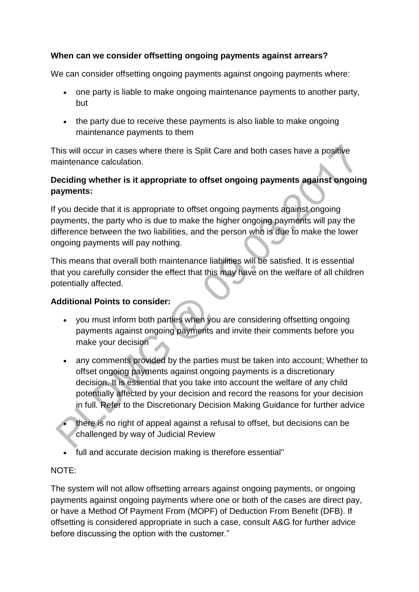## **When can we consider offsetting ongoing payments against arrears?**

We can consider offsetting ongoing payments against ongoing payments where:

- one party is liable to make ongoing maintenance payments to another party, but
- the party due to receive these payments is also liable to make ongoing maintenance payments to them

This will occur in cases where there is Split Care and both cases have a positive maintenance calculation.

# **Deciding whether is it appropriate to offset ongoing payments against ongoing payments:**

If you decide that it is appropriate to offset ongoing payments against ongoing payments, the party who is due to make the higher ongoing payments will pay the difference between the two liabilities, and the person who is due to make the lower ongoing payments will pay nothing.

This means that overall both maintenance liabilities will be satisfied. It is essential that you carefully consider the effect that this may have on the welfare of all children potentially affected.

# **Additional Points to consider:**

- you must inform both parties when you are considering offsetting ongoing payments against ongoing payments and invite their comments before you make your decision
- any comments provided by the parties must be taken into account; Whether to offset ongoing payments against ongoing payments is a discretionary decision. It is essential that you take into account the welfare of any child potentially affected by your decision and record the reasons for your decision in full. Refer to the Discretionary Decision Making Guidance for further advice
- there is no right of appeal against a refusal to offset, but decisions can be challenged by way of Judicial Review
- full and accurate decision making is therefore essential''

### NOTE:

The system will not allow offsetting arrears against ongoing payments, or ongoing payments against ongoing payments where one or both of the cases are direct pay, or have a Method Of Payment From (MOPF) of Deduction From Benefit (DFB). If offsetting is considered appropriate in such a case, consult A&G for further advice before discussing the option with the customer."